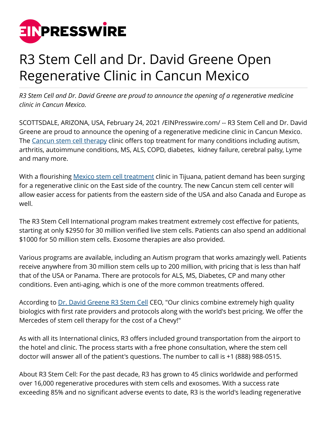

## R3 Stem Cell and Dr. David Greene Open Regenerative Clinic in Cancun Mexico

*R3 Stem Cell and Dr. David Greene are proud to announce the opening of a regenerative medicine clinic in Cancun Mexico.*

SCOTTSDALE, ARIZONA, USA, February 24, 2021 /[EINPresswire.com](http://www.einpresswire.com)/ -- R3 Stem Cell and Dr. David Greene are proud to announce the opening of a regenerative medicine clinic in Cancun Mexico. The [Cancun stem cell therapy](https://stemcelltreatmentclinic.com/cancun-mexico/) clinic offers top treatment for many conditions including autism, arthritis, autoimmune conditions, MS, ALS, COPD, diabetes, kidney failure, cerebral palsy, Lyme and many more.

With a flourishing [Mexico stem cell treatment](https://stemcelltreatmentclinic.com/) clinic in Tijuana, patient demand has been surging for a regenerative clinic on the East side of the country. The new Cancun stem cell center will allow easier access for patients from the eastern side of the USA and also Canada and Europe as well.

The R3 Stem Cell International program makes treatment extremely cost effective for patients, starting at only \$2950 for 30 million verified live stem cells. Patients can also spend an additional \$1000 for 50 million stem cells. Exosome therapies are also provided.

Various programs are available, including an Autism program that works amazingly well. Patients receive anywhere from 30 million stem cells up to 200 million, with pricing that is less than half that of the USA or Panama. There are protocols for ALS, MS, Diabetes, CP and many other conditions. Even anti-aging, which is one of the more common treatments offered.

According to [Dr. David Greene R3 Stem Cell](https://drdavidgreener3stemcell.com/) CEO, "Our clinics combine extremely high quality biologics with first rate providers and protocols along with the world's best pricing. We offer the Mercedes of stem cell therapy for the cost of a Chevy!"

As with all its International clinics, R3 offers included ground transportation from the airport to the hotel and clinic. The process starts with a free phone consultation, where the stem cell doctor will answer all of the patient's questions. The number to call is +1 (888) 988-0515.

About R3 Stem Cell: For the past decade, R3 has grown to 45 clinics worldwide and performed over 16,000 regenerative procedures with stem cells and exosomes. With a success rate exceeding 85% and no significant adverse events to date, R3 is the world's leading regenerative